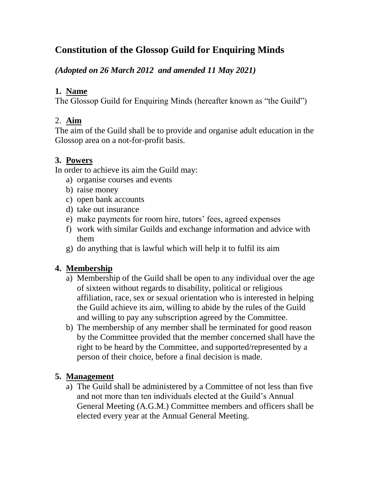# **Constitution of the Glossop Guild for Enquiring Minds**

*(Adopted on 26 March 2012 and amended 11 May 2021)* 

#### **1. Name**

The Glossop Guild for Enquiring Minds (hereafter known as "the Guild")

#### 2. **Aim**

The aim of the Guild shall be to provide and organise adult education in the Glossop area on a not-for-profit basis.

## **3. Powers**

In order to achieve its aim the Guild may:

- a) organise courses and events
- b) raise money
- c) open bank accounts
- d) take out insurance
- e) make payments for room hire, tutors' fees, agreed expenses
- f) work with similar Guilds and exchange information and advice with them
- g) do anything that is lawful which will help it to fulfil its aim

## **4. Membership**

- a) Membership of the Guild shall be open to any individual over the age of sixteen without regards to disability, political or religious affiliation, race, sex or sexual orientation who is interested in helping the Guild achieve its aim, willing to abide by the rules of the Guild and willing to pay any subscription agreed by the Committee.
- b) The membership of any member shall be terminated for good reason by the Committee provided that the member concerned shall have the right to be heard by the Committee, and supported/represented by a person of their choice, before a final decision is made.

## **5. Management**

a) The Guild shall be administered by a Committee of not less than five and not more than ten individuals elected at the Guild's Annual General Meeting (A.G.M.) Committee members and officers shall be elected every year at the Annual General Meeting.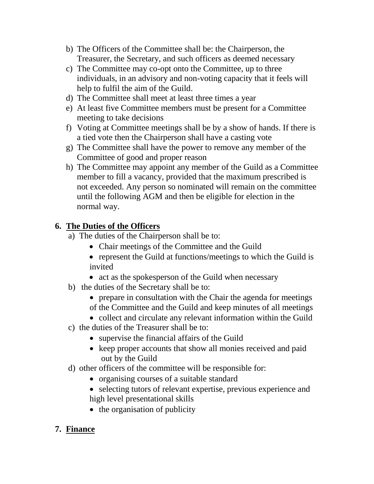- b) The Officers of the Committee shall be: the Chairperson, the Treasurer, the Secretary, and such officers as deemed necessary
- c) The Committee may co-opt onto the Committee, up to three individuals, in an advisory and non-voting capacity that it feels will help to fulfil the aim of the Guild.
- d) The Committee shall meet at least three times a year
- e) At least five Committee members must be present for a Committee meeting to take decisions
- f) Voting at Committee meetings shall be by a show of hands. If there is a tied vote then the Chairperson shall have a casting vote
- g) The Committee shall have the power to remove any member of the Committee of good and proper reason
- h) The Committee may appoint any member of the Guild as a Committee member to fill a vacancy, provided that the maximum prescribed is not exceeded. Any person so nominated will remain on the committee until the following AGM and then be eligible for election in the normal way.

#### **6. The Duties of the Officers**

- a) The duties of the Chairperson shall be to:
	- Chair meetings of the Committee and the Guild
	- represent the Guild at functions/meetings to which the Guild is invited
	- act as the spokesperson of the Guild when necessary
- b) the duties of the Secretary shall be to:
	- prepare in consultation with the Chair the agenda for meetings of the Committee and the Guild and keep minutes of all meetings
	- collect and circulate any relevant information within the Guild
- c) the duties of the Treasurer shall be to:
	- supervise the financial affairs of the Guild
	- keep proper accounts that show all monies received and paid out by the Guild
- d) other officers of the committee will be responsible for:
	- organising courses of a suitable standard
	- selecting tutors of relevant expertise, previous experience and high level presentational skills
	- the organisation of publicity
- **7. Finance**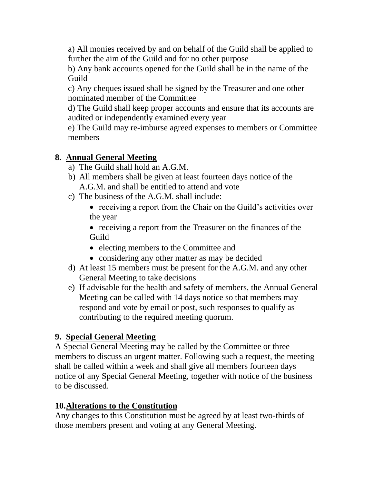a) All monies received by and on behalf of the Guild shall be applied to further the aim of the Guild and for no other purpose

b) Any bank accounts opened for the Guild shall be in the name of the Guild

c) Any cheques issued shall be signed by the Treasurer and one other nominated member of the Committee

d) The Guild shall keep proper accounts and ensure that its accounts are audited or independently examined every year

e) The Guild may re-imburse agreed expenses to members or Committee members

#### **8. Annual General Meeting**

- a) The Guild shall hold an A.G.M.
- b) All members shall be given at least fourteen days notice of the A.G.M. and shall be entitled to attend and vote
- c) The business of the A.G.M. shall include:
	- receiving a report from the Chair on the Guild's activities over the year

• receiving a report from the Treasurer on the finances of the Guild

- electing members to the Committee and
- considering any other matter as may be decided
- d) At least 15 members must be present for the A.G.M. and any other General Meeting to take decisions
- e) If advisable for the health and safety of members, the Annual General Meeting can be called with 14 days notice so that members may respond and vote by email or post, such responses to qualify as contributing to the required meeting quorum.

#### **9. Special General Meeting**

A Special General Meeting may be called by the Committee or three members to discuss an urgent matter. Following such a request, the meeting shall be called within a week and shall give all members fourteen days notice of any Special General Meeting, together with notice of the business to be discussed.

#### **10.Alterations to the Constitution**

Any changes to this Constitution must be agreed by at least two-thirds of those members present and voting at any General Meeting.